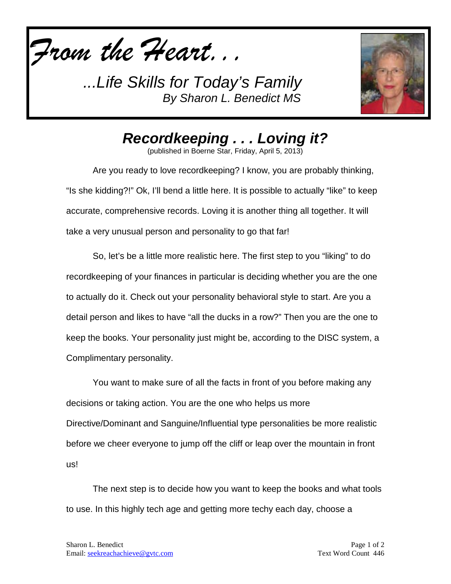*From the Heart...*



*Recordkeeping . . . Loving it?*

(published in Boerne Star, Friday, April 5, 2013)

Are you ready to love recordkeeping? I know, you are probably thinking, "Is she kidding?!" Ok, I'll bend a little here. It is possible to actually "like" to keep accurate, comprehensive records. Loving it is another thing all together. It will take a very unusual person and personality to go that far!

So, let's be a little more realistic here. The first step to you "liking" to do recordkeeping of your finances in particular is deciding whether you are the one to actually do it. Check out your personality behavioral style to start. Are you a detail person and likes to have "all the ducks in a row?" Then you are the one to keep the books. Your personality just might be, according to the DISC system, a Complimentary personality.

You want to make sure of all the facts in front of you before making any decisions or taking action. You are the one who helps us more Directive/Dominant and Sanguine/Influential type personalities be more realistic before we cheer everyone to jump off the cliff or leap over the mountain in front us!

The next step is to decide how you want to keep the books and what tools to use. In this highly tech age and getting more techy each day, choose a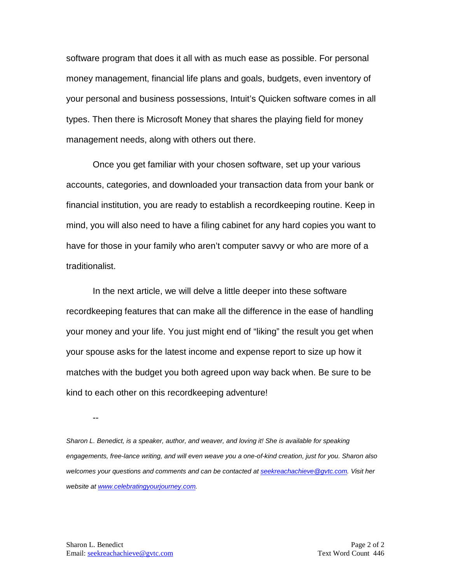software program that does it all with as much ease as possible. For personal money management, financial life plans and goals, budgets, even inventory of your personal and business possessions, Intuit's Quicken software comes in all types. Then there is Microsoft Money that shares the playing field for money management needs, along with others out there.

Once you get familiar with your chosen software, set up your various accounts, categories, and downloaded your transaction data from your bank or financial institution, you are ready to establish a recordkeeping routine. Keep in mind, you will also need to have a filing cabinet for any hard copies you want to have for those in your family who aren't computer savvy or who are more of a traditionalist.

In the next article, we will delve a little deeper into these software recordkeeping features that can make all the difference in the ease of handling your money and your life. You just might end of "liking" the result you get when your spouse asks for the latest income and expense report to size up how it matches with the budget you both agreed upon way back when. Be sure to be kind to each other on this recordkeeping adventure!

--

*Sharon L. Benedict, is a speaker, author, and weaver, and loving it! She is available for speaking engagements, free-lance writing, and will even weave you a one-of-kind creation, just for you. Sharon also welcomes your questions and comments and can be contacted a[t seekreachachieve@gvtc.com.](mailto:seekreachachieve@gvtc.com) Visit her website at [www.celebratingyourjourney.com.](http://www.celebratingyourjourney.com/)*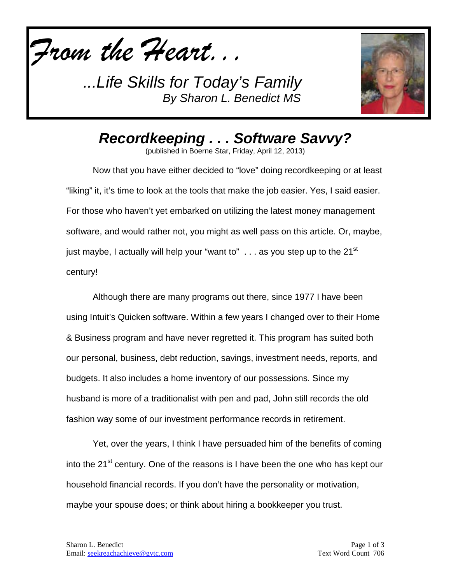



*Recordkeeping . . . Software Savvy?*

(published in Boerne Star, Friday, April 12, 2013)

Now that you have either decided to "love" doing recordkeeping or at least "liking" it, it's time to look at the tools that make the job easier. Yes, I said easier. For those who haven't yet embarked on utilizing the latest money management software, and would rather not, you might as well pass on this article. Or, maybe, just maybe, I actually will help your "want to"  $\ldots$  as you step up to the 21<sup>st</sup> century!

Although there are many programs out there, since 1977 I have been using Intuit's Quicken software. Within a few years I changed over to their Home & Business program and have never regretted it. This program has suited both our personal, business, debt reduction, savings, investment needs, reports, and budgets. It also includes a home inventory of our possessions. Since my husband is more of a traditionalist with pen and pad, John still records the old fashion way some of our investment performance records in retirement.

Yet, over the years, I think I have persuaded him of the benefits of coming into the 21<sup>st</sup> century. One of the reasons is I have been the one who has kept our household financial records. If you don't have the personality or motivation, maybe your spouse does; or think about hiring a bookkeeper you trust.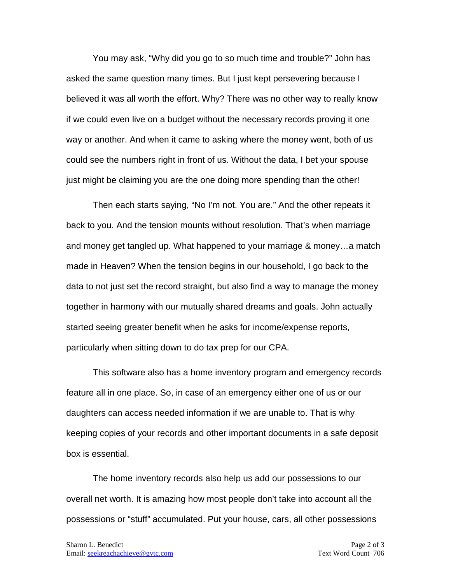You may ask, "Why did you go to so much time and trouble?" John has asked the same question many times. But I just kept persevering because I believed it was all worth the effort. Why? There was no other way to really know if we could even live on a budget without the necessary records proving it one way or another. And when it came to asking where the money went, both of us could see the numbers right in front of us. Without the data, I bet your spouse just might be claiming you are the one doing more spending than the other!

Then each starts saying, "No I'm not. You are." And the other repeats it back to you. And the tension mounts without resolution. That's when marriage and money get tangled up. What happened to your marriage & money…a match made in Heaven? When the tension begins in our household, I go back to the data to not just set the record straight, but also find a way to manage the money together in harmony with our mutually shared dreams and goals. John actually started seeing greater benefit when he asks for income/expense reports, particularly when sitting down to do tax prep for our CPA.

This software also has a home inventory program and emergency records feature all in one place. So, in case of an emergency either one of us or our daughters can access needed information if we are unable to. That is why keeping copies of your records and other important documents in a safe deposit box is essential.

The home inventory records also help us add our possessions to our overall net worth. It is amazing how most people don't take into account all the possessions or "stuff" accumulated. Put your house, cars, all other possessions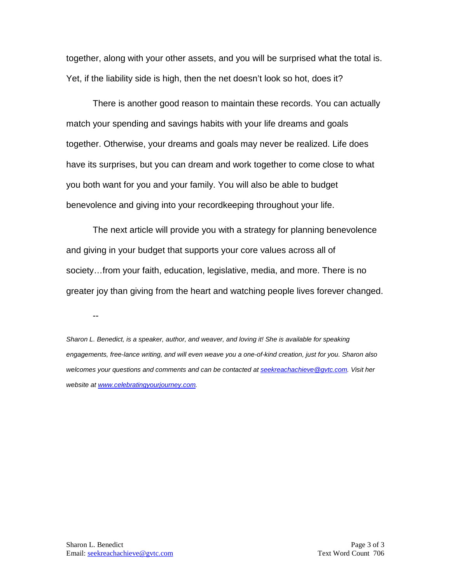together, along with your other assets, and you will be surprised what the total is. Yet, if the liability side is high, then the net doesn't look so hot, does it?

There is another good reason to maintain these records. You can actually match your spending and savings habits with your life dreams and goals together. Otherwise, your dreams and goals may never be realized. Life does have its surprises, but you can dream and work together to come close to what you both want for you and your family. You will also be able to budget benevolence and giving into your recordkeeping throughout your life.

The next article will provide you with a strategy for planning benevolence and giving in your budget that supports your core values across all of society…from your faith, education, legislative, media, and more. There is no greater joy than giving from the heart and watching people lives forever changed.

--

*Sharon L. Benedict, is a speaker, author, and weaver, and loving it! She is available for speaking engagements, free-lance writing, and will even weave you a one-of-kind creation, just for you. Sharon also welcomes your questions and comments and can be contacted a[t seekreachachieve@gvtc.com.](mailto:seekreachachieve@gvtc.com) Visit her website at [www.celebratingyourjourney.com.](http://www.celebratingyourjourney.com/)*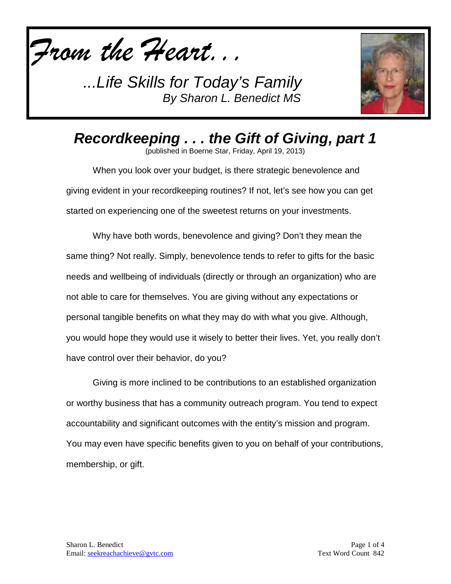*From the Heart...*



*Recordkeeping . . . the Gift of Giving, part 1*

(published in Boerne Star, Friday, April 19, 2013)

When you look over your budget, is there strategic benevolence and giving evident in your recordkeeping routines? If not, let's see how you can get started on experiencing one of the sweetest returns on your investments.

Why have both words, benevolence and giving? Don't they mean the same thing? Not really. Simply, benevolence tends to refer to gifts for the basic needs and wellbeing of individuals (directly or through an organization) who are not able to care for themselves. You are giving without any expectations or personal tangible benefits on what they may do with what you give. Although, you would hope they would use it wisely to better their lives. Yet, you really don't have control over their behavior, do you?

Giving is more inclined to be contributions to an established organization or worthy business that has a community outreach program. You tend to expect accountability and significant outcomes with the entity's mission and program. You may even have specific benefits given to you on behalf of your contributions, membership, or gift.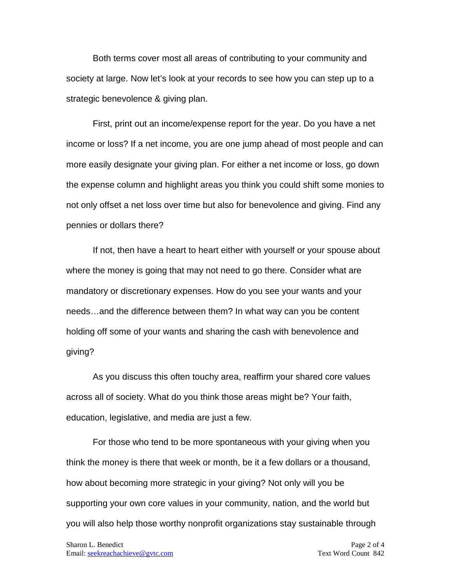Both terms cover most all areas of contributing to your community and society at large. Now let's look at your records to see how you can step up to a strategic benevolence & giving plan.

First, print out an income/expense report for the year. Do you have a net income or loss? If a net income, you are one jump ahead of most people and can more easily designate your giving plan. For either a net income or loss, go down the expense column and highlight areas you think you could shift some monies to not only offset a net loss over time but also for benevolence and giving. Find any pennies or dollars there?

If not, then have a heart to heart either with yourself or your spouse about where the money is going that may not need to go there. Consider what are mandatory or discretionary expenses. How do you see your wants and your needs…and the difference between them? In what way can you be content holding off some of your wants and sharing the cash with benevolence and giving?

As you discuss this often touchy area, reaffirm your shared core values across all of society. What do you think those areas might be? Your faith, education, legislative, and media are just a few.

For those who tend to be more spontaneous with your giving when you think the money is there that week or month, be it a few dollars or a thousand, how about becoming more strategic in your giving? Not only will you be supporting your own core values in your community, nation, and the world but you will also help those worthy nonprofit organizations stay sustainable through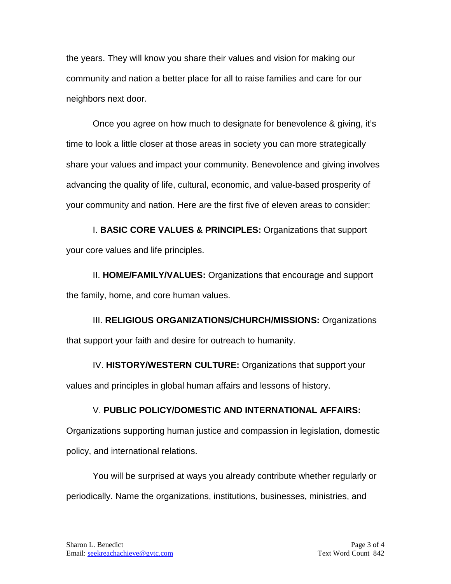the years. They will know you share their values and vision for making our community and nation a better place for all to raise families and care for our neighbors next door.

Once you agree on how much to designate for benevolence & giving, it's time to look a little closer at those areas in society you can more strategically share your values and impact your community. Benevolence and giving involves advancing the quality of life, cultural, economic, and value-based prosperity of your community and nation. Here are the first five of eleven areas to consider:

I. **BASIC CORE VALUES & PRINCIPLES:** Organizations that support your core values and life principles.

II. **HOME/FAMILY/VALUES:** Organizations that encourage and support the family, home, and core human values.

III. **RELIGIOUS ORGANIZATIONS/CHURCH/MISSIONS:** Organizations that support your faith and desire for outreach to humanity.

IV. **HISTORY/WESTERN CULTURE:** Organizations that support your values and principles in global human affairs and lessons of history.

## V. **PUBLIC POLICY/DOMESTIC AND INTERNATIONAL AFFAIRS:**

Organizations supporting human justice and compassion in legislation, domestic policy, and international relations.

You will be surprised at ways you already contribute whether regularly or periodically. Name the organizations, institutions, businesses, ministries, and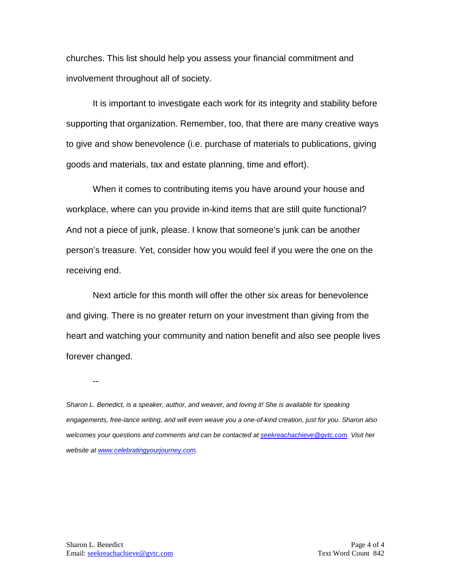churches. This list should help you assess your financial commitment and involvement throughout all of society.

It is important to investigate each work for its integrity and stability before supporting that organization. Remember, too, that there are many creative ways to give and show benevolence (i.e. purchase of materials to publications, giving goods and materials, tax and estate planning, time and effort).

When it comes to contributing items you have around your house and workplace, where can you provide in-kind items that are still quite functional? And not a piece of junk, please. I know that someone's junk can be another person's treasure. Yet, consider how you would feel if you were the one on the receiving end.

Next article for this month will offer the other six areas for benevolence and giving. There is no greater return on your investment than giving from the heart and watching your community and nation benefit and also see people lives forever changed.

--

*Sharon L. Benedict, is a speaker, author, and weaver, and loving it! She is available for speaking engagements, free-lance writing, and will even weave you a one-of-kind creation, just for you. Sharon also welcomes your questions and comments and can be contacted a[t seekreachachieve@gvtc.com.](mailto:seekreachachieve@gvtc.com) Visit her website at [www.celebratingyourjourney.com.](http://www.celebratingyourjourney.com/)*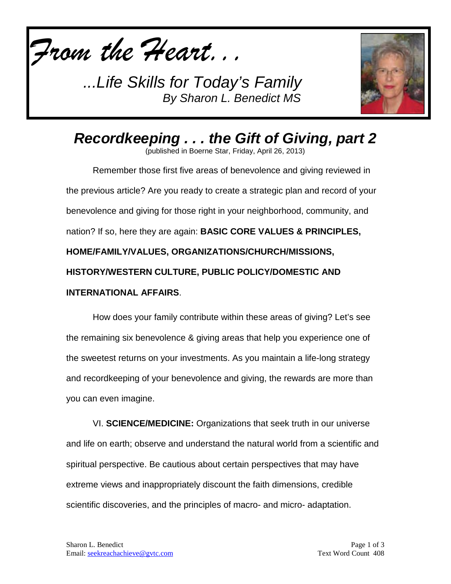



*Recordkeeping . . . the Gift of Giving, part 2*

(published in Boerne Star, Friday, April 26, 2013)

Remember those first five areas of benevolence and giving reviewed in the previous article? Are you ready to create a strategic plan and record of your benevolence and giving for those right in your neighborhood, community, and nation? If so, here they are again: **BASIC CORE VALUES & PRINCIPLES, HOME/FAMILY/VALUES, ORGANIZATIONS/CHURCH/MISSIONS, HISTORY/WESTERN CULTURE, PUBLIC POLICY/DOMESTIC AND INTERNATIONAL AFFAIRS**.

How does your family contribute within these areas of giving? Let's see the remaining six benevolence & giving areas that help you experience one of the sweetest returns on your investments. As you maintain a life-long strategy and recordkeeping of your benevolence and giving, the rewards are more than you can even imagine.

VI. **SCIENCE/MEDICINE:** Organizations that seek truth in our universe and life on earth; observe and understand the natural world from a scientific and spiritual perspective. Be cautious about certain perspectives that may have extreme views and inappropriately discount the faith dimensions, credible scientific discoveries, and the principles of macro- and micro- adaptation.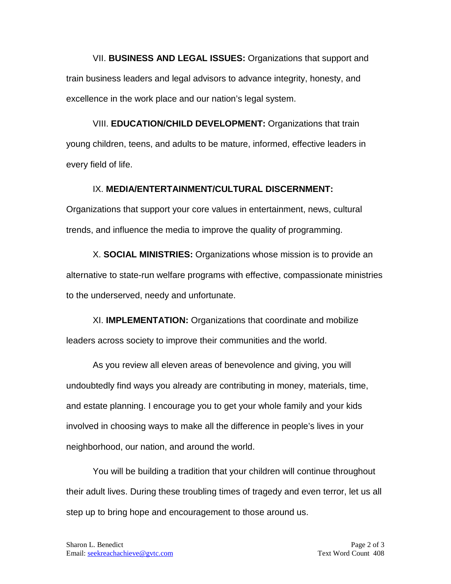VII. **BUSINESS AND LEGAL ISSUES:** Organizations that support and train business leaders and legal advisors to advance integrity, honesty, and excellence in the work place and our nation's legal system.

VIII. **EDUCATION/CHILD DEVELOPMENT:** Organizations that train young children, teens, and adults to be mature, informed, effective leaders in every field of life.

## IX. **MEDIA/ENTERTAINMENT/CULTURAL DISCERNMENT:**

Organizations that support your core values in entertainment, news, cultural trends, and influence the media to improve the quality of programming.

X. **SOCIAL MINISTRIES:** Organizations whose mission is to provide an alternative to state-run welfare programs with effective, compassionate ministries to the underserved, needy and unfortunate.

XI. **IMPLEMENTATION:** Organizations that coordinate and mobilize leaders across society to improve their communities and the world.

As you review all eleven areas of benevolence and giving, you will undoubtedly find ways you already are contributing in money, materials, time, and estate planning. I encourage you to get your whole family and your kids involved in choosing ways to make all the difference in people's lives in your neighborhood, our nation, and around the world.

You will be building a tradition that your children will continue throughout their adult lives. During these troubling times of tragedy and even terror, let us all step up to bring hope and encouragement to those around us.